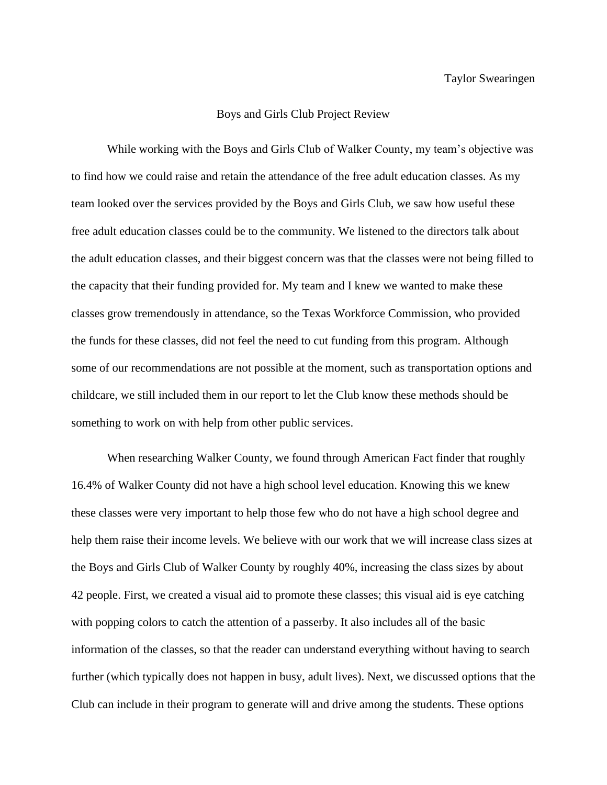## Boys and Girls Club Project Review

While working with the Boys and Girls Club of Walker County, my team's objective was to find how we could raise and retain the attendance of the free adult education classes. As my team looked over the services provided by the Boys and Girls Club, we saw how useful these free adult education classes could be to the community. We listened to the directors talk about the adult education classes, and their biggest concern was that the classes were not being filled to the capacity that their funding provided for. My team and I knew we wanted to make these classes grow tremendously in attendance, so the Texas Workforce Commission, who provided the funds for these classes, did not feel the need to cut funding from this program. Although some of our recommendations are not possible at the moment, such as transportation options and childcare, we still included them in our report to let the Club know these methods should be something to work on with help from other public services.

When researching Walker County, we found through American Fact finder that roughly 16.4% of Walker County did not have a high school level education. Knowing this we knew these classes were very important to help those few who do not have a high school degree and help them raise their income levels. We believe with our work that we will increase class sizes at the Boys and Girls Club of Walker County by roughly 40%, increasing the class sizes by about 42 people. First, we created a visual aid to promote these classes; this visual aid is eye catching with popping colors to catch the attention of a passerby. It also includes all of the basic information of the classes, so that the reader can understand everything without having to search further (which typically does not happen in busy, adult lives). Next, we discussed options that the Club can include in their program to generate will and drive among the students. These options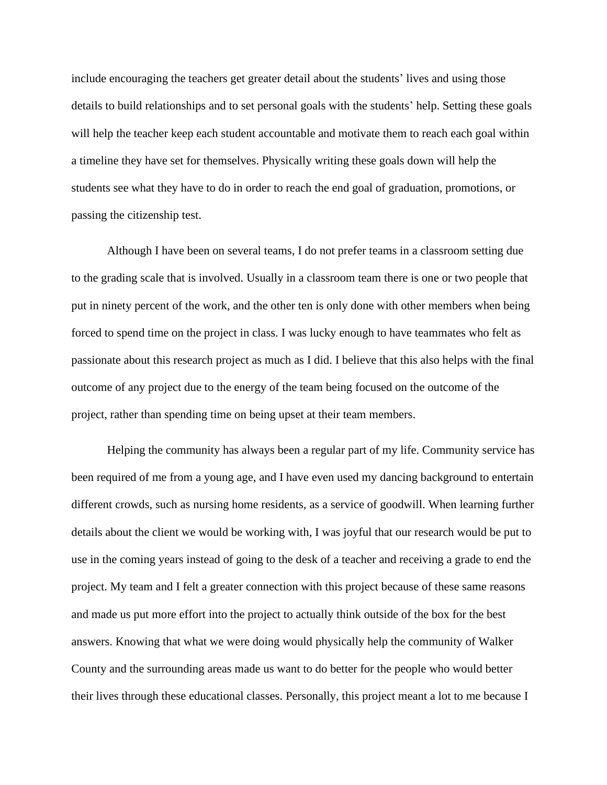include encouraging the teachers get greater detail about the students' lives and using those details to build relationships and to set personal goals with the students' help. Setting these goals will help the teacher keep each student accountable and motivate them to reach each goal within a timeline they have set for themselves. Physically writing these goals down will help the students see what they have to do in order to reach the end goal of graduation, promotions, or passing the citizenship test.

Although I have been on several teams, I do not prefer teams in a classroom setting due to the grading scale that is involved. Usually in a classroom team there is one or two people that put in ninety percent of the work, and the other ten is only done with other members when being forced to spend time on the project in class. I was lucky enough to have teammates who felt as passionate about this research project as much as I did. I believe that this also helps with the final outcome of any project due to the energy of the team being focused on the outcome of the project, rather than spending time on being upset at their team members.

Helping the community has always been a regular part of my life. Community service has been required of me from a young age, and I have even used my dancing background to entertain different crowds, such as nursing home residents, as a service of goodwill. When learning further details about the client we would be working with, I was joyful that our research would be put to use in the coming years instead of going to the desk of a teacher and receiving a grade to end the project. My team and I felt a greater connection with this project because of these same reasons and made us put more effort into the project to actually think outside of the box for the best answers. Knowing that what we were doing would physically help the community of Walker County and the surrounding areas made us want to do better for the people who would better their lives through these educational classes. Personally, this project meant a lot to me because I